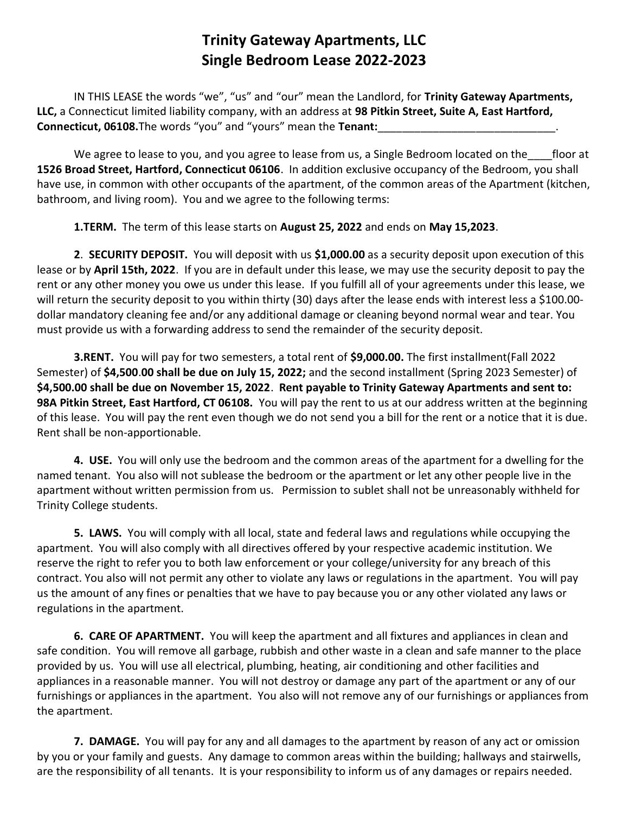IN THIS LEASE the words "we", "us" and "our" mean the Landlord, for Trinity Gateway Apartments, LLC, a Connecticut limited liability company, with an address at 98 Pitkin Street, Suite A, East Hartford, Connecticut, 06108. The words "you" and "yours" mean the Tenant:

We agree to lease to you, and you agree to lease from us, a Single Bedroom located on the floor at 1526 Broad Street, Hartford, Connecticut 06106. In addition exclusive occupancy of the Bedroom, you shall have use, in common with other occupants of the apartment, of the common areas of the Apartment (kitchen, bathroom, and living room). You and we agree to the following terms:

1.TERM. The term of this lease starts on August 25, 2022 and ends on May 15,2023.

2. SECURITY DEPOSIT. You will deposit with us \$1,000.00 as a security deposit upon execution of this lease or by April 15th, 2022. If you are in default under this lease, we may use the security deposit to pay the rent or any other money you owe us under this lease. If you fulfill all of your agreements under this lease, we will return the security deposit to you within thirty (30) days after the lease ends with interest less a \$100.00dollar mandatory cleaning fee and/or any additional damage or cleaning beyond normal wear and tear. You must provide us with a forwarding address to send the remainder of the security deposit.

3.RENT. You will pay for two semesters, a total rent of \$9,000.00. The first installment(Fall 2022 Semester) of \$4,500.00 shall be due on July 15, 2022; and the second installment (Spring 2023 Semester) of \$4,500.00 shall be due on November 15, 2022. Rent payable to Trinity Gateway Apartments and sent to: 98A Pitkin Street, East Hartford, CT 06108. You will pay the rent to us at our address written at the beginning of this lease. You will pay the rent even though we do not send you a bill for the rent or a notice that it is due. Rent shall be non-apportionable.

4. USE. You will only use the bedroom and the common areas of the apartment for a dwelling for the named tenant. You also will not sublease the bedroom or the apartment or let any other people live in the apartment without written permission from us. Permission to sublet shall not be unreasonably withheld for Trinity College students.

5. LAWS. You will comply with all local, state and federal laws and regulations while occupying the apartment. You will also comply with all directives offered by your respective academic institution. We reserve the right to refer you to both law enforcement or your college/university for any breach of this contract. You also will not permit any other to violate any laws or regulations in the apartment. You will pay us the amount of any fines or penalties that we have to pay because you or any other violated any laws or regulations in the apartment.

6. CARE OF APARTMENT. You will keep the apartment and all fixtures and appliances in clean and safe condition. You will remove all garbage, rubbish and other waste in a clean and safe manner to the place provided by us. You will use all electrical, plumbing, heating, air conditioning and other facilities and appliances in a reasonable manner. You will not destroy or damage any part of the apartment or any of our furnishings or appliances in the apartment. You also will not remove any of our furnishings or appliances from the apartment.

7. DAMAGE. You will pay for any and all damages to the apartment by reason of any act or omission by you or your family and guests. Any damage to common areas within the building; hallways and stairwells, are the responsibility of all tenants. It is your responsibility to inform us of any damages or repairs needed.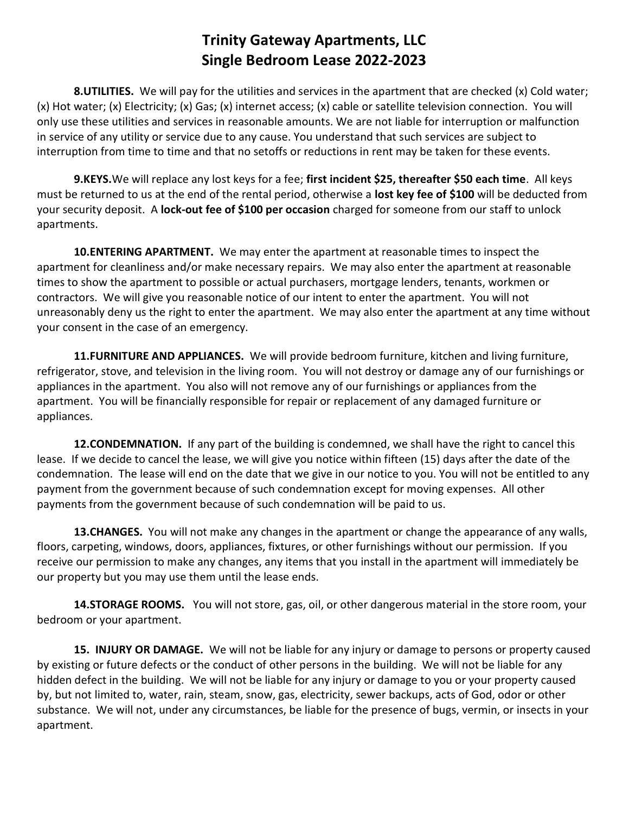8. UTILITIES. We will pay for the utilities and services in the apartment that are checked (x) Cold water; (x) Hot water; (x) Electricity; (x) Gas; (x) internet access; (x) cable or satellite television connection. You will only use these utilities and services in reasonable amounts. We are not liable for interruption or malfunction in service of any utility or service due to any cause. You understand that such services are subject to interruption from time to time and that no setoffs or reductions in rent may be taken for these events.

9.KEYS.We will replace any lost keys for a fee; first incident \$25, thereafter \$50 each time. All keys must be returned to us at the end of the rental period, otherwise a lost key fee of \$100 will be deducted from your security deposit. A lock-out fee of \$100 per occasion charged for someone from our staff to unlock apartments.

**10.ENTERING APARTMENT.** We may enter the apartment at reasonable times to inspect the apartment for cleanliness and/or make necessary repairs. We may also enter the apartment at reasonable times to show the apartment to possible or actual purchasers, mortgage lenders, tenants, workmen or contractors. We will give you reasonable notice of our intent to enter the apartment. You will not unreasonably deny us the right to enter the apartment. We may also enter the apartment at any time without your consent in the case of an emergency.

11. FURNITURE AND APPLIANCES. We will provide bedroom furniture, kitchen and living furniture, refrigerator, stove, and television in the living room. You will not destroy or damage any of our furnishings or appliances in the apartment. You also will not remove any of our furnishings or appliances from the apartment. You will be financially responsible for repair or replacement of any damaged furniture or appliances.

12. CONDEMNATION. If any part of the building is condemned, we shall have the right to cancel this lease. If we decide to cancel the lease, we will give you notice within fifteen (15) days after the date of the condemnation. The lease will end on the date that we give in our notice to you. You will not be entitled to any payment from the government because of such condemnation except for moving expenses. All other payments from the government because of such condemnation will be paid to us.

13. CHANGES. You will not make any changes in the apartment or change the appearance of any walls, floors, carpeting, windows, doors, appliances, fixtures, or other furnishings without our permission. If you receive our permission to make any changes, any items that you install in the apartment will immediately be our property but you may use them until the lease ends.

14.STORAGE ROOMS. You will not store, gas, oil, or other dangerous material in the store room, your bedroom or your apartment.

15. INJURY OR DAMAGE. We will not be liable for any injury or damage to persons or property caused by existing or future defects or the conduct of other persons in the building. We will not be liable for any hidden defect in the building. We will not be liable for any injury or damage to you or your property caused by, but not limited to, water, rain, steam, snow, gas, electricity, sewer backups, acts of God, odor or other substance. We will not, under any circumstances, be liable for the presence of bugs, vermin, or insects in your apartment.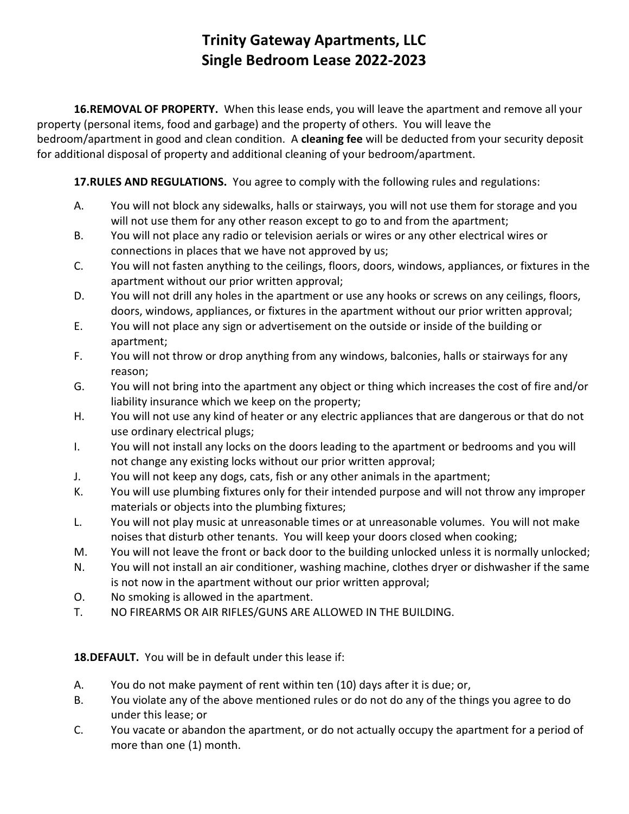16.REMOVAL OF PROPERTY. When this lease ends, you will leave the apartment and remove all your property (personal items, food and garbage) and the property of others. You will leave the bedroom/apartment in good and clean condition. A cleaning fee will be deducted from your security deposit for additional disposal of property and additional cleaning of your bedroom/apartment.

17. RULES AND REGULATIONS. You agree to comply with the following rules and regulations:

- A. You will not block any sidewalks, halls or stairways, you will not use them for storage and you will not use them for any other reason except to go to and from the apartment;
- B. You will not place any radio or television aerials or wires or any other electrical wires or connections in places that we have not approved by us;
- C. You will not fasten anything to the ceilings, floors, doors, windows, appliances, or fixtures in the apartment without our prior written approval;
- D. You will not drill any holes in the apartment or use any hooks or screws on any ceilings, floors, doors, windows, appliances, or fixtures in the apartment without our prior written approval;
- E. You will not place any sign or advertisement on the outside or inside of the building or apartment;
- F. You will not throw or drop anything from any windows, balconies, halls or stairways for any reason;
- G. You will not bring into the apartment any object or thing which increases the cost of fire and/or liability insurance which we keep on the property;
- H. You will not use any kind of heater or any electric appliances that are dangerous or that do not use ordinary electrical plugs;
- I. You will not install any locks on the doors leading to the apartment or bedrooms and you will not change any existing locks without our prior written approval;
- J. You will not keep any dogs, cats, fish or any other animals in the apartment;
- K. You will use plumbing fixtures only for their intended purpose and will not throw any improper materials or objects into the plumbing fixtures;
- L. You will not play music at unreasonable times or at unreasonable volumes. You will not make noises that disturb other tenants. You will keep your doors closed when cooking;
- M. You will not leave the front or back door to the building unlocked unless it is normally unlocked;
- N. You will not install an air conditioner, washing machine, clothes dryer or dishwasher if the same is not now in the apartment without our prior written approval;
- O. No smoking is allowed in the apartment.
- T. NO FIREARMS OR AIR RIFLES/GUNS ARE ALLOWED IN THE BUILDING.

18.DEFAULT. You will be in default under this lease if:

- A. You do not make payment of rent within ten (10) days after it is due; or,
- B. You violate any of the above mentioned rules or do not do any of the things you agree to do under this lease; or
- C. You vacate or abandon the apartment, or do not actually occupy the apartment for a period of more than one (1) month.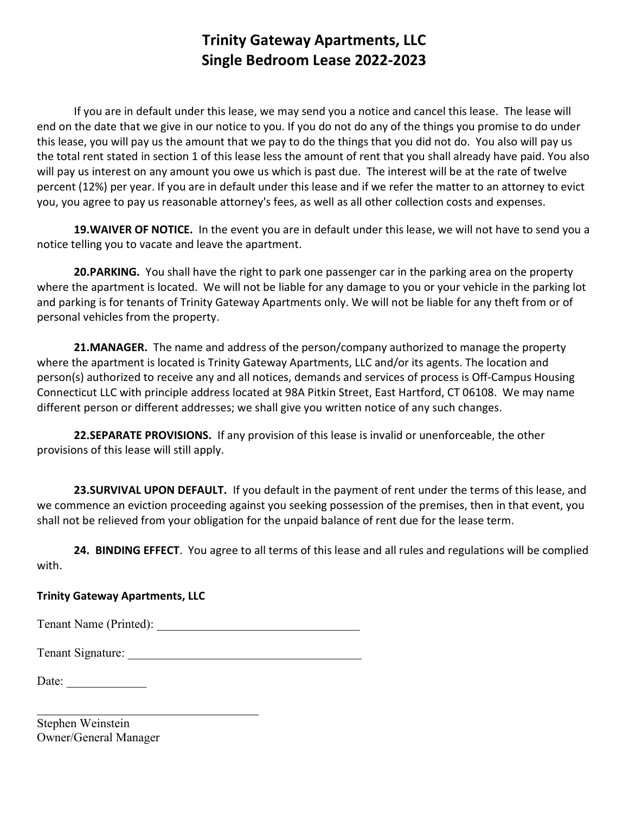If you are in default under this lease, we may send you a notice and cancel this lease. The lease will end on the date that we give in our notice to you. If you do not do any of the things you promise to do under this lease, you will pay us the amount that we pay to do the things that you did not do. You also will pay us the total rent stated in section 1 of this lease less the amount of rent that you shall already have paid. You also will pay us interest on any amount you owe us which is past due. The interest will be at the rate of twelve percent (12%) per year. If you are in default under this lease and if we refer the matter to an attorney to evict you, you agree to pay us reasonable attorney's fees, as well as all other collection costs and expenses.

19. WAIVER OF NOTICE. In the event you are in default under this lease, we will not have to send you a notice telling you to vacate and leave the apartment.

20.PARKING. You shall have the right to park one passenger car in the parking area on the property where the apartment is located. We will not be liable for any damage to you or your vehicle in the parking lot and parking is for tenants of Trinity Gateway Apartments only. We will not be liable for any theft from or of personal vehicles from the property.

21.MANAGER. The name and address of the person/company authorized to manage the property where the apartment is located is Trinity Gateway Apartments, LLC and/or its agents. The location and person(s) authorized to receive any and all notices, demands and services of process is Off-Campus Housing Connecticut LLC with principle address located at 98A Pitkin Street, East Hartford, CT 06108. We may name different person or different addresses; we shall give you written notice of any such changes.

22.SEPARATE PROVISIONS. If any provision of this lease is invalid or unenforceable, the other provisions of this lease will still apply.

23. SURVIVAL UPON DEFAULT. If you default in the payment of rent under the terms of this lease, and we commence an eviction proceeding against you seeking possession of the premises, then in that event, you shall not be relieved from your obligation for the unpaid balance of rent due for the lease term.

24. BINDING EFFECT. You agree to all terms of this lease and all rules and regulations will be complied with.

#### Trinity Gateway Apartments, LLC

Tenant Name (Printed):

Tenant Signature: \_\_\_\_\_\_\_\_\_\_\_\_\_\_\_\_\_\_\_\_\_\_\_\_\_\_\_\_\_\_\_\_\_\_\_\_\_\_

Date:

l

Stephen Weinstein Owner/General Manager